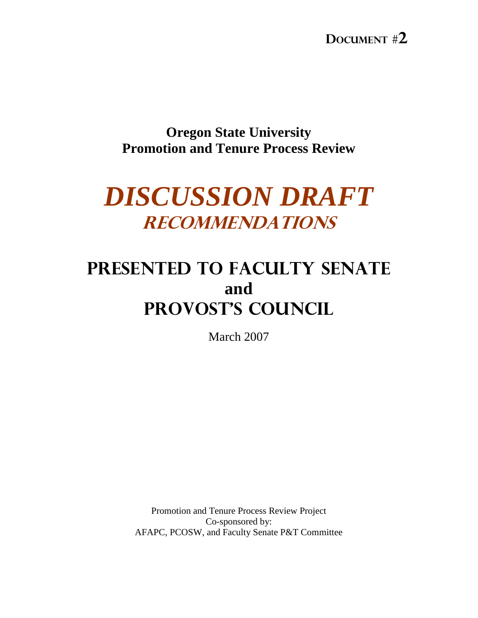**Oregon State University Promotion and Tenure Process Review** 

# *DISCUSSION DRAFT*  RECOMMENDATIONS

# Presented to FACULTY SENATE **and**  PROVOST's COUNCIL

March 2007

Promotion and Tenure Process Review Project Co-sponsored by: AFAPC, PCOSW, and Faculty Senate P&T Committee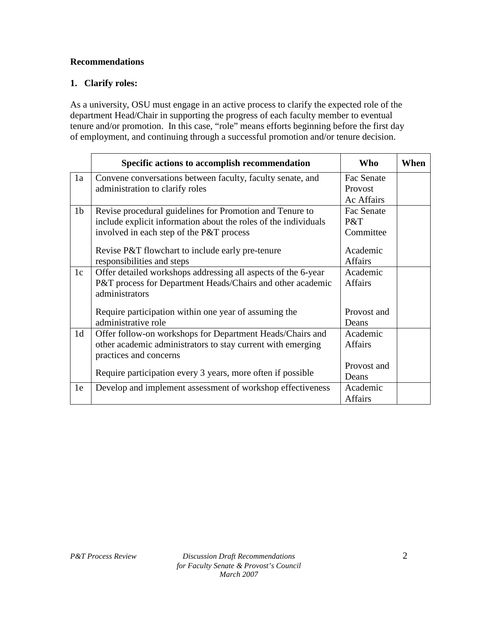#### **Recommendations**

#### **1. Clarify roles:**

As a university, OSU must engage in an active process to clarify the expected role of the department Head/Chair in supporting the progress of each faculty member to eventual tenure and/or promotion. In this case, "role" means efforts beginning before the first day of employment, and continuing through a successful promotion and/or tenure decision.

|                | Specific actions to accomplish recommendation                   | Who            | When |
|----------------|-----------------------------------------------------------------|----------------|------|
| 1a             | Convene conversations between faculty, faculty senate, and      | Fac Senate     |      |
|                | administration to clarify roles                                 | Provost        |      |
|                |                                                                 | Ac Affairs     |      |
| 1 <sub>b</sub> | Revise procedural guidelines for Promotion and Tenure to        | Fac Senate     |      |
|                | include explicit information about the roles of the individuals | P&T            |      |
|                | involved in each step of the P&T process                        | Committee      |      |
|                |                                                                 |                |      |
|                | Revise P&T flowchart to include early pre-tenure                | Academic       |      |
|                | responsibilities and steps                                      | <b>Affairs</b> |      |
| 1c             | Offer detailed workshops addressing all aspects of the 6-year   | Academic       |      |
|                | P&T process for Department Heads/Chairs and other academic      | <b>Affairs</b> |      |
|                | administrators                                                  |                |      |
|                | Require participation within one year of assuming the           | Provost and    |      |
|                | administrative role                                             | Deans          |      |
| 1 <sub>d</sub> | Offer follow-on workshops for Department Heads/Chairs and       | Academic       |      |
|                | other academic administrators to stay current with emerging     | <b>Affairs</b> |      |
|                | practices and concerns                                          |                |      |
|                |                                                                 | Provost and    |      |
|                | Require participation every 3 years, more often if possible     | Deans          |      |
| 1e             | Develop and implement assessment of workshop effectiveness      | Academic       |      |
|                |                                                                 | Affairs        |      |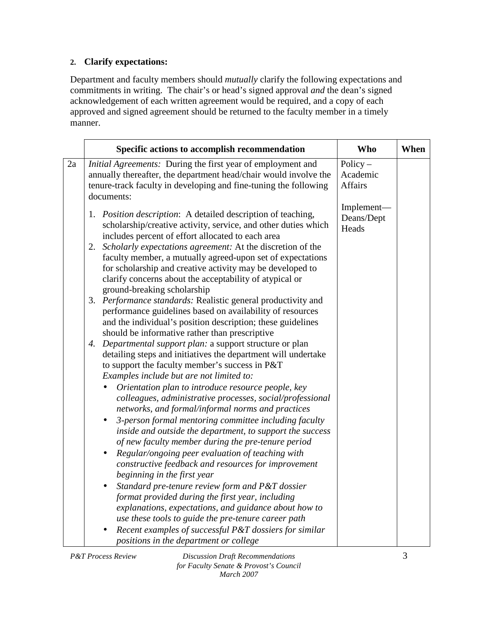## **2. Clarify expectations:**

Department and faculty members should *mutually* clarify the following expectations and commitments in writing. The chair's or head's signed approval *and* the dean's signed acknowledgement of each written agreement would be required, and a copy of each approved and signed agreement should be returned to the faculty member in a timely manner.

|    | Specific actions to accomplish recommendation                                                                                                                                                                                                                                                                                                                                                                                                                                                                                                                                                                                                                                                                                                                                                                                                                                                                                                                                                                                                                                                                                                                                                                                                                                                                                                                                                                                                                                                                                                                                                                                                                                                                                                                                                                                          | <b>Who</b>                               | When |
|----|----------------------------------------------------------------------------------------------------------------------------------------------------------------------------------------------------------------------------------------------------------------------------------------------------------------------------------------------------------------------------------------------------------------------------------------------------------------------------------------------------------------------------------------------------------------------------------------------------------------------------------------------------------------------------------------------------------------------------------------------------------------------------------------------------------------------------------------------------------------------------------------------------------------------------------------------------------------------------------------------------------------------------------------------------------------------------------------------------------------------------------------------------------------------------------------------------------------------------------------------------------------------------------------------------------------------------------------------------------------------------------------------------------------------------------------------------------------------------------------------------------------------------------------------------------------------------------------------------------------------------------------------------------------------------------------------------------------------------------------------------------------------------------------------------------------------------------------|------------------------------------------|------|
| 2a | Initial Agreements: During the first year of employment and<br>annually thereafter, the department head/chair would involve the<br>tenure-track faculty in developing and fine-tuning the following<br>documents:                                                                                                                                                                                                                                                                                                                                                                                                                                                                                                                                                                                                                                                                                                                                                                                                                                                                                                                                                                                                                                                                                                                                                                                                                                                                                                                                                                                                                                                                                                                                                                                                                      | Policy $-$<br>Academic<br><b>Affairs</b> |      |
|    | 1. Position description: A detailed description of teaching,<br>scholarship/creative activity, service, and other duties which<br>includes percent of effort allocated to each area<br>Scholarly expectations agreement: At the discretion of the<br>2.<br>faculty member, a mutually agreed-upon set of expectations<br>for scholarship and creative activity may be developed to<br>clarify concerns about the acceptability of atypical or<br>ground-breaking scholarship<br>3. Performance standards: Realistic general productivity and<br>performance guidelines based on availability of resources<br>and the individual's position description; these guidelines<br>should be informative rather than prescriptive<br>Departmental support plan: a support structure or plan<br>4.<br>detailing steps and initiatives the department will undertake<br>to support the faculty member's success in P&T<br>Examples include but are not limited to:<br>Orientation plan to introduce resource people, key<br>$\bullet$<br>colleagues, administrative processes, social/professional<br>networks, and formal/informal norms and practices<br>3-person formal mentoring committee including faculty<br>$\bullet$<br>inside and outside the department, to support the success<br>of new faculty member during the pre-tenure period<br>Regular/ongoing peer evaluation of teaching with<br>$\bullet$<br>constructive feedback and resources for improvement<br>beginning in the first year<br>Standard pre-tenure review form and P&T dossier<br>$\bullet$<br>format provided during the first year, including<br>explanations, expectations, and guidance about how to<br>use these tools to guide the pre-tenure career path<br>Recent examples of successful P&T dossiers for similar<br>positions in the department or college | Implement-<br>Deans/Dept<br>Heads        |      |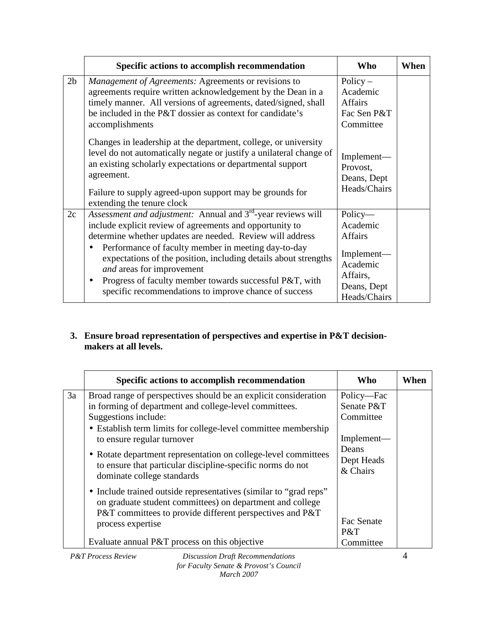|                | Specific actions to accomplish recommendation                                                                                                                                                                                                                                                                                                                                                                                                                                                          | Who                                                                                                        | When |
|----------------|--------------------------------------------------------------------------------------------------------------------------------------------------------------------------------------------------------------------------------------------------------------------------------------------------------------------------------------------------------------------------------------------------------------------------------------------------------------------------------------------------------|------------------------------------------------------------------------------------------------------------|------|
| 2 <sub>b</sub> | <i>Management of Agreements: Agreements or revisions to</i><br>agreements require written acknowledgement by the Dean in a<br>timely manner. All versions of agreements, dated/signed, shall<br>be included in the P&T dossier as context for candidate's<br>accomplishments                                                                                                                                                                                                                           | $Policy -$<br>Academic<br><b>Affairs</b><br>Fac Sen P&T<br>Committee                                       |      |
|                | Changes in leadership at the department, college, or university<br>level do not automatically negate or justify a unilateral change of<br>an existing scholarly expectations or departmental support<br>agreement.<br>Failure to supply agreed-upon support may be grounds for<br>extending the tenure clock                                                                                                                                                                                           | Implement-<br>Provost,<br>Deans, Dept<br>Heads/Chairs                                                      |      |
| 2c             | Assessment and adjustment: Annual and 3 <sup>rd</sup> -year reviews will<br>include explicit review of agreements and opportunity to<br>determine whether updates are needed. Review will address<br>Performance of faculty member in meeting day-to-day<br>$\bullet$<br>expectations of the position, including details about strengths<br>and areas for improvement<br>Progress of faculty member towards successful P&T, with<br>$\bullet$<br>specific recommendations to improve chance of success | Policy-<br>Academic<br><b>Affairs</b><br>Implement—<br>Academic<br>Affairs,<br>Deans, Dept<br>Heads/Chairs |      |

### **3. Ensure broad representation of perspectives and expertise in P&T decisionmakers at all levels.**

|    | Specific actions to accomplish recommendation                                                                                                                                                                                                                                                                                                                                     | <b>Who</b>                                                                 | When |
|----|-----------------------------------------------------------------------------------------------------------------------------------------------------------------------------------------------------------------------------------------------------------------------------------------------------------------------------------------------------------------------------------|----------------------------------------------------------------------------|------|
| 3a | Broad range of perspectives should be an explicit consideration<br>in forming of department and college-level committees.<br>Suggestions include:<br>• Establish term limits for college-level committee membership<br>to ensure regular turnover<br>• Rotate department representation on college-level committees<br>to ensure that particular discipline-specific norms do not | Policy—Fac<br>Senate P&T<br>Committee<br>Implement—<br>Deans<br>Dept Heads |      |
|    | dominate college standards<br>• Include trained outside representatives (similar to "grad reps"<br>on graduate student committees) on department and college<br>P&T committees to provide different perspectives and P&T<br>process expertise<br>Evaluate annual P&T process on this objective                                                                                    | & Chairs<br>Fac Senate<br>P&T<br>Committee                                 |      |